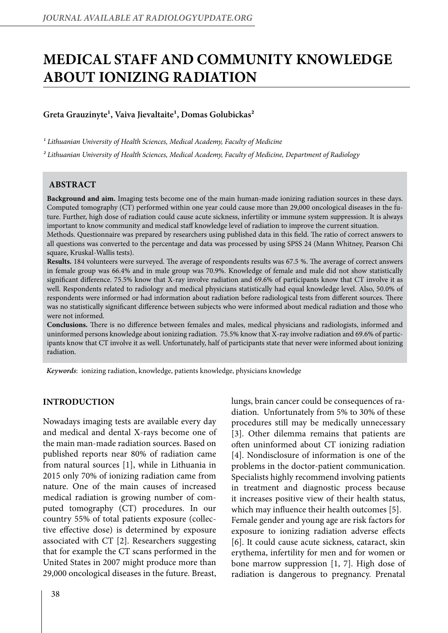# **MEDICAL STAFF AND COMMUNITY KNOWLEDGE ABOUT IONIZING RADIATION**

# Greta Grauzinyte<sup>1</sup>, Vaiva Jievaltaite<sup>1</sup>, Domas Golubickas<sup>2</sup>

<sup>1</sup> Lithuanian University of Health Sciences, Medical Academy, Faculty of Medicine

*² Lithuanian University of Health Sciences, Medical Academy, Faculty of Medicine, Department of Radiology*

## **ABSTRACT**

**Background and aim.** Imaging tests become one of the main human-made ionizing radiation sources in these days. Computed tomography (CT) performed within one year could cause more than 29,000 oncological diseases in the future. Further, high dose of radiation could cause acute sickness, infertility or immune system suppression. It is always important to know community and medical staff knowledge level of radiation to improve the current situation.

Methods. Questionnaire was prepared by researchers using published data in this field. The ratio of correct answers to all questions was converted to the percentage and data was processed by using SPSS 24 (Mann Whitney, Pearson Chi square, Kruskal-Wallis tests).

**Results.** 184 volunteers were surveyed. The average of respondents results was 67.5 %. The average of correct answers in female group was 66.4% and in male group was 70.9%. Knowledge of female and male did not show statistically significant difference. 75.5% know that X-ray involve radiation and 69.6% of participants know that CT involve it as well. Respondents related to radiology and medical physicians statistically had equal knowledge level. Also, 50.0% of respondents were informed or had information about radiation before radiological tests from different sources. There was no statistically significant difference between subjects who were informed about medical radiation and those who were not informed.

**Conclusions.** There is no difference between females and males, medical physicians and radiologists, informed and uninformed persons knowledge about ionizing radiation. 75.5% know that X-ray involve radiation and 69.6% of participants know that CT involve it as well. Unfortunately, half of participants state that never were informed about ionizing radiation.

*Keywords*: ionizing radiation, knowledge, patients knowledge, physicians knowledge

#### **INTRODUCTION**

Nowadays imaging tests are available every day and medical and dental X-rays become one of the main man-made radiation sources. Based on published reports near 80% of radiation came from natural sources [1], while in Lithuania in 2015 only 70% of ionizing radiation came from nature. One of the main causes of increased medical radiation is growing number of computed tomography (CT) procedures. In our country 55% of total patients exposure (collective effective dose) is determined by exposure associated with CT [2]. Researchers suggesting that for example the CT scans performed in the United States in 2007 might produce more than 29,000 oncological diseases in the future. Breast,

lungs, brain cancer could be consequences of radiation. Unfortunately from 5% to 30% of these procedures still may be medically unnecessary [3]. Other dilemma remains that patients are often uninformed about CT ionizing radiation [4]. Nondisclosure of information is one of the problems in the doctor-patient communication. Specialists highly recommend involving patients in treatment and diagnostic process because it increases positive view of their health status, which may influence their health outcomes [5]. Female gender and young age are risk factors for exposure to ionizing radiation adverse effects [6]. It could cause acute sickness, cataract, skin erythema, infertility for men and for women or bone marrow suppression [1, 7]. High dose of radiation is dangerous to pregnancy. Prenatal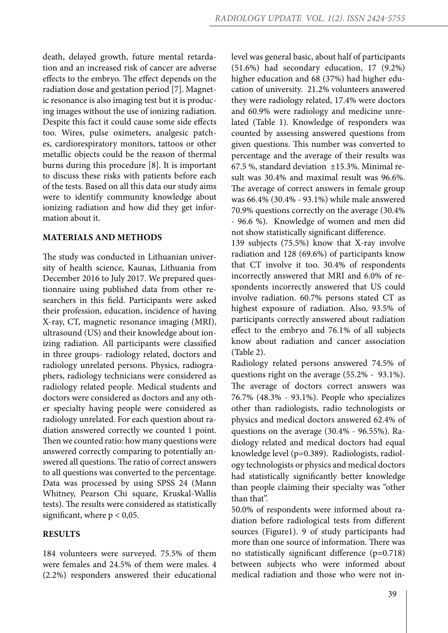death, delayed growth, future mental retardation and an increased risk of cancer are adverse effects to the embryo. The effect depends on the radiation dose and gestation period [7]. Magnetic resonance is also imaging test but it is producing images without the use of ionizing radiation. Despite this fact it could cause some side effects too. Wires, pulse oximeters, analgesic patches, cardiorespiratory monitors, tattoos or other metallic objects could be the reason of thermal burns during this procedure [8]. It is important to discuss these risks with patients before each of the tests. Based on all this data our study aims were to identify community knowledge about ionizing radiation and how did they get information about it.

#### **MATERIALS AND METHODS**

The study was conducted in Lithuanian university of health science, Kaunas, Lithuania from December 2016 to July 2017. We prepared questionnaire using published data from other researchers in this field. Participants were asked their profession, education, incidence of having X-ray, CT, magnetic resonance imaging (MRI), ultrasound (US) and their knowledge about ionizing radiation. All participants were classified in three groups- radiology related, doctors and radiology unrelated persons. Physics, radiographers, radiology technicians were considered as radiology related people. Medical students and doctors were considered as doctors and any other specialty having people were considered as radiology unrelated. For each question about radiation answered correctly we counted 1 point. Then we counted ratio: how many questions were answered correctly comparing to potentially answered all questions. The ratio of correct answers to all questions was converted to the percentage. Data was processed by using SPSS 24 (Mann Whitney, Pearson Chi square, Kruskal-Wallis tests). The results were considered as statistically significant, where  $p < 0.05$ .

# **RESULTS**

184 volunteers were surveyed. 75.5% of them were females and 24.5% of them were males. 4 (2.2%) responders answered their educational level was general basic, about half of participants (51.6%) had secondary education, 17 (9.2%) higher education and 68 (37%) had higher education of university. 21.2% volunteers answered they were radiology related, 17.4% were doctors and 60.9% were radiology and medicine unrelated (Table 1). Knowledge of responders was counted by assessing answered questions from given questions. This number was converted to percentage and the average of their results was 67.5 %, standard deviation ±15.3%. Minimal result was 30.4% and maximal result was 96.6%. The average of correct answers in female group was 66.4% (30.4% - 93.1%) while male answered 70.9% questions correctly on the average (30.4% - 96.6 %). Knowledge of women and men did not show statistically significant difference.

139 subjects (75.5%) know that X-ray involve radiation and 128 (69.6%) of participants know that CT involve it too. 30.4% of respondents incorrectly answered that MRI and 6.0% of respondents incorrectly answered that US could involve radiation. 60.7% persons stated CT as highest exposure of radiation. Also, 93.5% of participants correctly answered about radiation effect to the embryo and 76.1% of all subjects know about radiation and cancer association (Table 2).

Radiology related persons answered 74.5% of questions right on the average (55.2% - 93.1%). The average of doctors correct answers was 76.7% (48.3% - 93.1%). People who specializes other than radiologists, radio technologists or physics and medical doctors answered 62.4% of questions on the average (30.4% - 96.55%). Radiology related and medical doctors had equal knowledge level (p=0.389). Radiologists, radiology technologists or physics and medical doctors had statistically significantly better knowledge than people claiming their specialty was "other than that".

50.0% of respondents were informed about radiation before radiological tests from different sources (Figure1). 9 of study participants had more than one source of information. There was no statistically significant difference (p=0.718) between subjects who were informed about medical radiation and those who were not in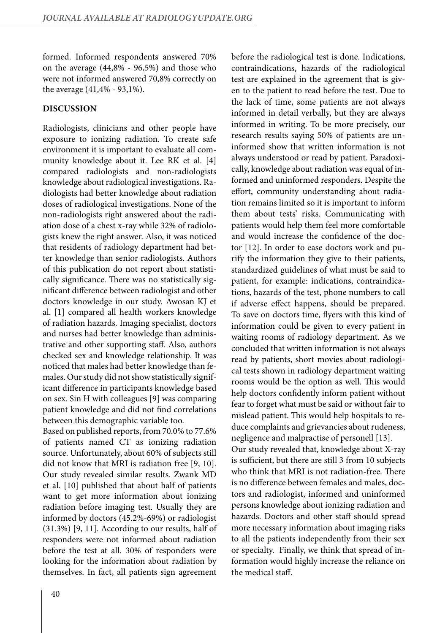formed. Informed respondents answered 70% on the average (44,8% - 96,5%) and those who were not informed answered 70,8% correctly on the average (41,4% - 93,1%).

## **DISCUSSION**

Radiologists, clinicians and other people have exposure to ionizing radiation. To create safe environment it is important to evaluate all community knowledge about it. Lee RK et al. [4] compared radiologists and non-radiologists knowledge about radiological investigations. Radiologists had better knowledge about radiation doses of radiological investigations. None of the non-radiologists right answered about the radiation dose of a chest x-ray while 32% of radiologists knew the right answer. Also, it was noticed that residents of radiology department had better knowledge than senior radiologists. Authors of this publication do not report about statistically significance. There was no statistically significant difference between radiologist and other doctors knowledge in our study. Awosan KJ et al. [1] compared all health workers knowledge of radiation hazards. Imaging specialist, doctors and nurses had better knowledge than administrative and other supporting staff. Also, authors checked sex and knowledge relationship. It was noticed that males had better knowledge than females. Our study did not show statistically significant difference in participants knowledge based on sex. Sin H with colleagues [9] was comparing patient knowledge and did not find correlations between this demographic variable too.

Based on published reports, from 70.0% to 77.6% of patients named CT as ionizing radiation source. Unfortunately, about 60% of subjects still did not know that MRI is radiation free [9, 10]. Our study revealed similar results. Zwank MD et al. [10] published that about half of patients want to get more information about ionizing radiation before imaging test. Usually they are informed by doctors (45.2%-69%) or radiologist (31.3%) [9, 11]. According to our results, half of responders were not informed about radiation before the test at all. 30% of responders were looking for the information about radiation by themselves. In fact, all patients sign agreement

before the radiological test is done. Indications, contraindications, hazards of the radiological test are explained in the agreement that is given to the patient to read before the test. Due to the lack of time, some patients are not always informed in detail verbally, but they are always informed in writing. To be more precisely, our research results saying 50% of patients are uninformed show that written information is not always understood or read by patient. Paradoxically, knowledge about radiation was equal of informed and uninformed responders. Despite the effort, community understanding about radiation remains limited so it is important to inform them about tests' risks. Communicating with patients would help them feel more comfortable and would increase the confidence of the doctor [12]. In order to ease doctors work and purify the information they give to their patients, standardized guidelines of what must be said to patient, for example: indications, contraindications, hazards of the test, phone numbers to call if adverse effect happens, should be prepared. To save on doctors time, flyers with this kind of information could be given to every patient in waiting rooms of radiology department. As we concluded that written information is not always read by patients, short movies about radiological tests shown in radiology department waiting rooms would be the option as well. This would help doctors confidently inform patient without fear to forget what must be said or without fair to mislead patient. This would help hospitals to reduce complaints and grievancies about rudeness, negligence and malpractise of personell [13]. Our study revealed that, knowledge about X-ray is sufficient, but there are still 3 from 10 subjects who think that MRI is not radiation-free. There is no difference between females and males, doctors and radiologist, informed and uninformed persons knowledge about ionizing radiation and

hazards. Doctors and other staff should spread more necessary information about imaging risks to all the patients independently from their sex or specialty. Finally, we think that spread of information would highly increase the reliance on the medical staff.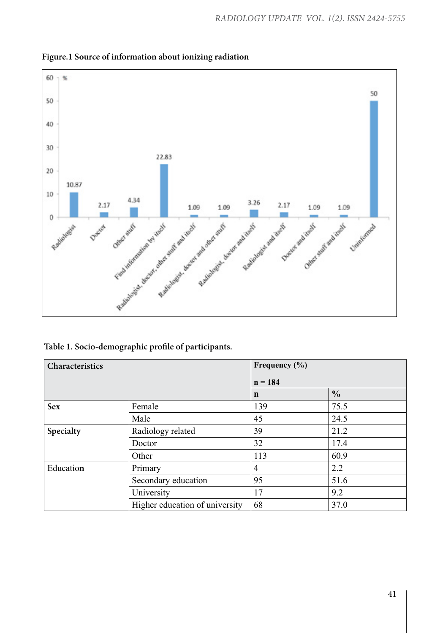

**Figure.1 Source of information about ionizing radiation**

**Table 1. Socio-demographic profile of participants.**

| Characteristics |                                | Frequency (%)<br>$n = 184$ |      |
|-----------------|--------------------------------|----------------------------|------|
|                 |                                |                            |      |
| <b>Sex</b>      | Female                         | 139                        | 75.5 |
|                 | Male                           | 45                         | 24.5 |
| Specialty       | Radiology related              | 39                         | 21.2 |
|                 | Doctor                         | 32                         | 17.4 |
|                 | Other                          | 113                        | 60.9 |
| Education       | Primary                        | $\overline{4}$             | 2.2  |
|                 | Secondary education            | 95                         | 51.6 |
|                 | University                     | 17                         | 9.2  |
|                 | Higher education of university | 68                         | 37.0 |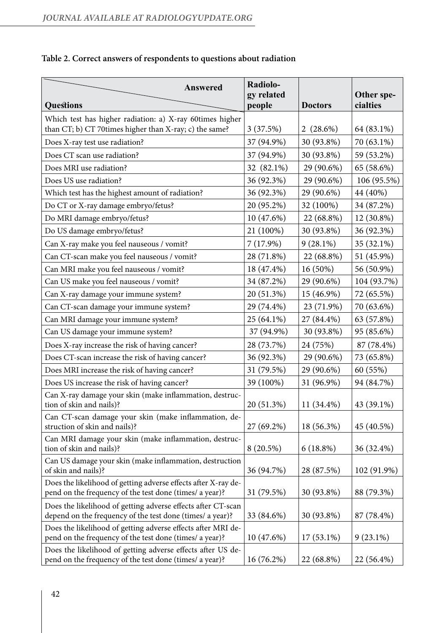| <b>Answered</b>                                                                                                           | Radiolo-<br>gy related |                | Other spe-  |
|---------------------------------------------------------------------------------------------------------------------------|------------------------|----------------|-------------|
| <b>Questions</b>                                                                                                          | people                 | <b>Doctors</b> | cialties    |
| Which test has higher radiation: a) X-ray 60times higher<br>than CT; b) CT 70times higher than X-ray; c) the same?        | 3(37.5%)               | 2(28.6%)       | 64 (83.1%)  |
| Does X-ray test use radiation?                                                                                            | 37 (94.9%)             | 30 (93.8%)     | 70 (63.1%)  |
| Does CT scan use radiation?                                                                                               | 37 (94.9%)             | 30 (93.8%)     | 59 (53.2%)  |
| Does MRI use radiation?                                                                                                   | 32 (82.1%)             | 29 (90.6%)     | 65 (58.6%)  |
| Does US use radiation?                                                                                                    | 36 (92.3%)             | 29 (90.6%)     | 106 (95.5%) |
| Which test has the highest amount of radiation?                                                                           | 36 (92.3%)             | 29 (90.6%)     | 44 (40%)    |
| Do CT or X-ray damage embryo/fetus?                                                                                       | 20 (95.2%)             | 32 (100%)      | 34 (87.2%)  |
| Do MRI damage embryo/fetus?                                                                                               | 10 (47.6%)             | 22 (68.8%)     | 12 (30.8%)  |
| Do US damage embryo/fetus?                                                                                                | 21 (100%)              | 30 (93.8%)     | 36 (92.3%)  |
| Can X-ray make you feel nauseous / vomit?                                                                                 | 7(17.9%)               | $9(28.1\%)$    | 35 (32.1%)  |
| Can CT-scan make you feel nauseous / vomit?                                                                               | 28 (71.8%)             | 22 (68.8%)     | 51 (45.9%)  |
| Can MRI make you feel nauseous / vomit?                                                                                   | 18 (47.4%)             | 16 (50%)       | 56 (50.9%)  |
| Can US make you feel nauseous / vomit?                                                                                    | 34 (87.2%)             | 29 (90.6%)     | 104 (93.7%) |
| Can X-ray damage your immune system?                                                                                      | 20 (51.3%)             | 15 (46.9%)     | 72 (65.5%)  |
| Can CT-scan damage your immune system?                                                                                    | 29 (74.4%)             | 23 (71.9%)     | 70 (63.6%)  |
| Can MRI damage your immune system?                                                                                        | 25 (64.1%)             | 27 (84.4%)     | 63 (57.8%)  |
| Can US damage your immune system?                                                                                         | 37 (94.9%)             | 30 (93.8%)     | 95 (85.6%)  |
| Does X-ray increase the risk of having cancer?                                                                            | 28 (73.7%)             | 24 (75%)       | 87 (78.4%)  |
| Does CT-scan increase the risk of having cancer?                                                                          | 36 (92.3%)             | 29 (90.6%)     | 73 (65.8%)  |
| Does MRI increase the risk of having cancer?                                                                              | 31 (79.5%)             | 29 (90.6%)     | 60 (55%)    |
| Does US increase the risk of having cancer?                                                                               | 39 (100%)              | 31 (96.9%)     | 94 (84.7%)  |
| Can X-ray damage your skin (make inflammation, destruc-<br>tion of skin and nails)?                                       | 20 (51.3%)             | 11 (34.4%)     | 43 (39.1%)  |
| Can CT-scan damage your skin (make inflammation, de-                                                                      |                        |                |             |
| struction of skin and nails)?                                                                                             | 27 (69.2%)             | 18 (56.3%)     | 45 (40.5%)  |
| Can MRI damage your skin (make inflammation, destruc-<br>tion of skin and nails)?                                         | $8(20.5\%)$            | $6(18.8\%)$    | 36 (32.4%)  |
| Can US damage your skin (make inflammation, destruction<br>of skin and nails)?                                            | 36 (94.7%)             | 28 (87.5%)     | 102 (91.9%) |
| Does the likelihood of getting adverse effects after X-ray de-<br>pend on the frequency of the test done (times/ a year)? | 31 (79.5%)             | 30 (93.8%)     | 88 (79.3%)  |
| Does the likelihood of getting adverse effects after CT-scan<br>depend on the frequency of the test done (times/ a year)? | 33 (84.6%)             | 30 (93.8%)     | 87 (78.4%)  |
| Does the likelihood of getting adverse effects after MRI de-<br>pend on the frequency of the test done (times/ a year)?   | 10(47.6%)              | $17(53.1\%)$   | $9(23.1\%)$ |
| Does the likelihood of getting adverse effects after US de-<br>pend on the frequency of the test done (times/ a year)?    | 16 (76.2%)             | 22 (68.8%)     | 22 (56.4%)  |

# **Table 2. Correct answers of respondents to questions about radiation**